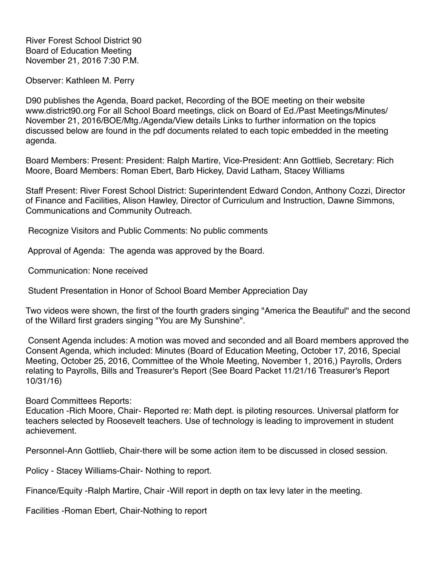River Forest School District 90 Board of Education Meeting November 21, 2016 7:30 P.M.

Observer: Kathleen M. Perry

D90 publishes the Agenda, Board packet, Recording of the BOE meeting on their website www.district90.org For all School Board meetings, click on Board of Ed./Past Meetings/Minutes/ November 21, 2016/BOE/Mtg./Agenda/View details Links to further information on the topics discussed below are found in the pdf documents related to each topic embedded in the meeting agenda.

Board Members: Present: President: Ralph Martire, Vice-President: Ann Gottlieb, Secretary: Rich Moore, Board Members: Roman Ebert, Barb Hickey, David Latham, Stacey Williams

Staff Present: River Forest School District: Superintendent Edward Condon, Anthony Cozzi, Director of Finance and Facilities, Alison Hawley, Director of Curriculum and Instruction, Dawne Simmons, Communications and Community Outreach.

Recognize Visitors and Public Comments: No public comments

Approval of Agenda: The agenda was approved by the Board.

Communication: None received

Student Presentation in Honor of School Board Member Appreciation Day

Two videos were shown, the first of the fourth graders singing "America the Beautiful" and the second of the Willard first graders singing "You are My Sunshine".

 Consent Agenda includes: A motion was moved and seconded and all Board members approved the Consent Agenda, which included: Minutes (Board of Education Meeting, October 17, 2016, Special Meeting, October 25, 2016, Committee of the Whole Meeting, November 1, 2016,) Payrolls, Orders relating to Payrolls, Bills and Treasurer's Report (See Board Packet 11/21/16 Treasurer's Report 10/31/16)

Board Committees Reports:

Education -Rich Moore, Chair- Reported re: Math dept. is piloting resources. Universal platform for teachers selected by Roosevelt teachers. Use of technology is leading to improvement in student achievement.

Personnel-Ann Gottlieb, Chair-there will be some action item to be discussed in closed session.

Policy - Stacey Williams-Chair- Nothing to report.

Finance/Equity -Ralph Martire, Chair -Will report in depth on tax levy later in the meeting.

Facilities -Roman Ebert, Chair-Nothing to report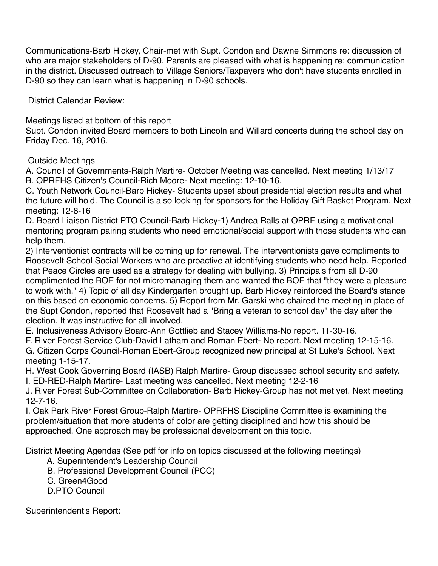Communications-Barb Hickey, Chair-met with Supt. Condon and Dawne Simmons re: discussion of who are major stakeholders of D-90. Parents are pleased with what is happening re: communication in the district. Discussed outreach to Village Seniors/Taxpayers who don't have students enrolled in D-90 so they can learn what is happening in D-90 schools.

District Calendar Review:

Meetings listed at bottom of this report

Supt. Condon invited Board members to both Lincoln and Willard concerts during the school day on Friday Dec. 16, 2016.

Outside Meetings

A. Council of Governments-Ralph Martire- October Meeting was cancelled. Next meeting 1/13/17 B. OPRFHS Citizen's Council-Rich Moore- Next meeting: 12-10-16.

C. Youth Network Council-Barb Hickey- Students upset about presidential election results and what the future will hold. The Council is also looking for sponsors for the Holiday Gift Basket Program. Next meeting: 12-8-16

D. Board Liaison District PTO Council-Barb Hickey-1) Andrea Ralls at OPRF using a motivational mentoring program pairing students who need emotional/social support with those students who can help them.

2) Interventionist contracts will be coming up for renewal. The interventionists gave compliments to Roosevelt School Social Workers who are proactive at identifying students who need help. Reported that Peace Circles are used as a strategy for dealing with bullying. 3) Principals from all D-90 complimented the BOE for not micromanaging them and wanted the BOE that "they were a pleasure to work with." 4) Topic of all day Kindergarten brought up. Barb Hickey reinforced the Board's stance on this based on economic concerns. 5) Report from Mr. Garski who chaired the meeting in place of the Supt Condon, reported that Roosevelt had a "Bring a veteran to school day" the day after the election. It was instructive for all involved.

E. Inclusiveness Advisory Board-Ann Gottlieb and Stacey Williams-No report. 11-30-16.

F. River Forest Service Club-David Latham and Roman Ebert- No report. Next meeting 12-15-16.

G. Citizen Corps Council-Roman Ebert-Group recognized new principal at St Luke's School. Next meeting 1-15-17.

H. West Cook Governing Board (IASB) Ralph Martire- Group discussed school security and safety. I. ED-RED-Ralph Martire- Last meeting was cancelled. Next meeting 12-2-16

J. River Forest Sub-Committee on Collaboration- Barb Hickey-Group has not met yet. Next meeting 12-7-16.

I. Oak Park River Forest Group-Ralph Martire- OPRFHS Discipline Committee is examining the problem/situation that more students of color are getting disciplined and how this should be approached. One approach may be professional development on this topic.

District Meeting Agendas (See pdf for info on topics discussed at the following meetings)

A. Superintendent's Leadership Council

B. Professional Development Council (PCC)

C. Green4Good

D.PTO Council

Superintendent's Report: